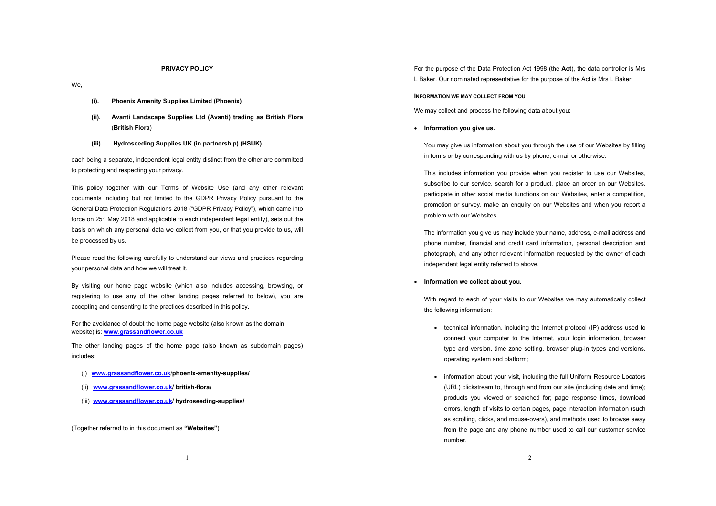# **PRIVACY POLICY**

- We,
- **(i). Phoenix Amenity Supplies Limited (Phoenix)**
- **(ii). Avanti Landscape Supplies Ltd (Avanti) trading as British Flora** (**British Flora**)
- **(iii). Hydroseeding Supplies UK (in partnership) (HSUK)**

each being a separate, independent legal entity distinct from the other are committed to protecting and respecting your privacy.

This policy together with our Terms of Website Use (and any other relevant documents including but not limited to the GDPR Privacy Policy pursuant to the General Data Protection Regulations 2018 ("GDPR Privacy Policy"), which came into force on 25<sup>th</sup> May 2018 and applicable to each independent legal entity), sets out the basis on which any personal data we collect from you, or that you provide to us, will be processed by us.

Please read the following carefully to understand our views and practices regarding your personal data and how we will treat it.

By visiting our home page website (which also includes accessing, browsing, or registering to use any of the other landing pages referred to below), you are accepting and consenting to the practices described in this policy.

For the avoidance of doubt the home page website (also known as the domain website) is: **www.grassandflower.co.uk**

The other landing pages of the home page (also known as subdomain pages) includes:

- (i) **www.grassandflower.co.uk**/**phoenix-amenity-supplies/**
- (ii) **www.grassandflower.co.uk/ british-flora/**
- (iii) **www.grassandflower.co.uk/ hydroseeding-supplies/**

(Together referred to in this document as **"Websites"**)

For the purpose of the Data Protection Act 1998 (the **Act**), the data controller is Mrs L Baker. Our nominated representative for the purpose of the Act is Mrs L Baker.

### **INFORMATION WE MAY COLLECT FROM YOU**

We may collect and process the following data about you:

• **Information you give us.**

You may give us information about you through the use of our Websites by filling in forms or by corresponding with us by phone, e-mail or otherwise.

This includes information you provide when you register to use our Websites, subscribe to our service, search for a product, place an order on our Websites, participate in other social media functions on our Websites, enter a competition, promotion or survey, make an enquiry on our Websites and when you report a problem with our Websites.

The information you give us may include your name, address, e-mail address and phone number, financial and credit card information, personal description and photograph, and any other relevant information requested by the owner of each independent legal entity referred to above.

# • **Information we collect about you.**

With regard to each of your visits to our Websites we may automatically collect the following information:

- technical information, including the Internet protocol (IP) address used to connect your computer to the Internet, your login information, browser type and version, time zone setting, browser plug-in types and versions, operating system and platform;
- information about your visit, including the full Uniform Resource Locators (URL) clickstream to, through and from our site (including date and time); products you viewed or searched for; page response times, download errors, length of visits to certain pages, page interaction information (such as scrolling, clicks, and mouse-overs), and methods used to browse away from the page and any phone number used to call our customer service number.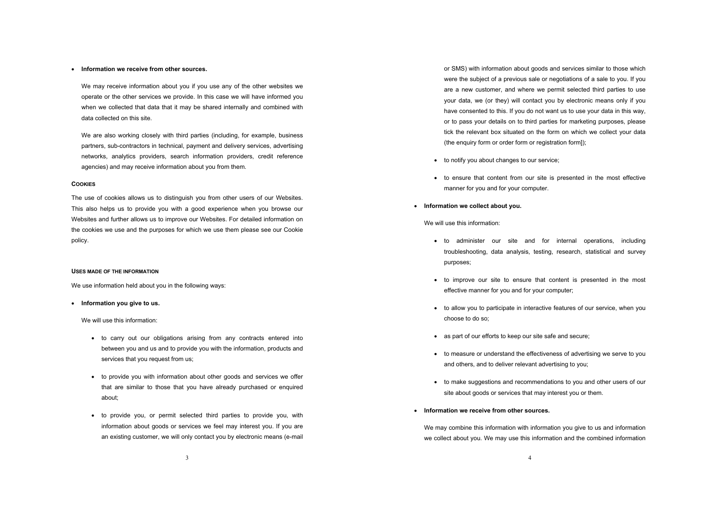# • **Information we receive from other sources.**

We may receive information about you if you use any of the other websites we operate or the other services we provide. In this case we will have informed you when we collected that data that it may be shared internally and combined with data collected on this site.

We are also working closely with third parties (including, for example, business partners, sub-contractors in technical, payment and delivery services, advertising networks, analytics providers, search information providers, credit reference agencies) and may receive information about you from them.

# **COOKIES**

The use of cookies allows us to distinguish you from other users of our Websites. This also helps us to provide you with a good experience when you browse our Websites and further allows us to improve our Websites. For detailed information on the cookies we use and the purposes for which we use them please see our Cookie policy.

#### **USES MADE OF THE INFORMATION**

We use information held about you in the following ways:

# • **Information you give to us.**

We will use this information:

- to carry out our obligations arising from any contracts entered into between you and us and to provide you with the information, products and services that you request from us;
- to provide you with information about other goods and services we offer that are similar to those that you have already purchased or enquired about;
- to provide you, or permit selected third parties to provide you, with information about goods or services we feel may interest you. If you are an existing customer, we will only contact you by electronic means (e-mail

or SMS) with information about goods and services similar to those which were the subject of a previous sale or negotiations of a sale to you. If you are a new customer, and where we permit selected third parties to use your data, we (or they) will contact you by electronic means only if you have consented to this. If you do not want us to use your data in this way, or to pass your details on to third parties for marketing purposes, please tick the relevant box situated on the form on which we collect your data (the enquiry form or order form or registration form]);

- to notify you about changes to our service;
- to ensure that content from our site is presented in the most effective manner for you and for your computer.
- **Information we collect about you.**

We will use this information:

- to administer our site and for internal operations, including troubleshooting, data analysis, testing, research, statistical and survey purposes;
- to improve our site to ensure that content is presented in the most effective manner for you and for your computer;
- to allow you to participate in interactive features of our service, when you choose to do so;
- as part of our efforts to keep our site safe and secure;
- to measure or understand the effectiveness of advertising we serve to you and others, and to deliver relevant advertising to you;
- to make suggestions and recommendations to you and other users of our site about goods or services that may interest you or them.
- **Information we receive from other sources.**

We may combine this information with information you give to us and information we collect about you. We may use this information and the combined information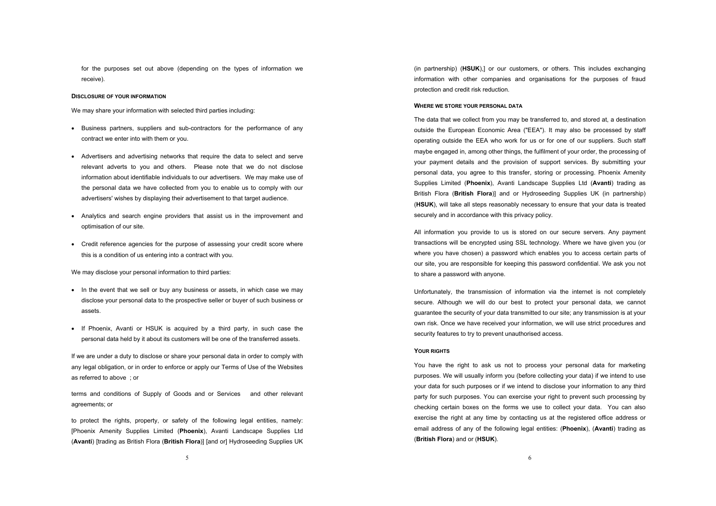for the purposes set out above (depending on the types of information we receive).

# **DISCLOSURE OF YOUR INFORMATION**

We may share your information with selected third parties including:

- Business partners, suppliers and sub-contractors for the performance of any contract we enter into with them or you.
- Advertisers and advertising networks that require the data to select and serve relevant adverts to you and others. Please note that we do not disclose information about identifiable individuals to our advertisers. We may make use of the personal data we have collected from you to enable us to comply with our advertisers' wishes by displaying their advertisement to that target audience.
- Analytics and search engine providers that assist us in the improvement and optimisation of our site.
- Credit reference agencies for the purpose of assessing your credit score where this is a condition of us entering into a contract with you.

We may disclose your personal information to third parties:

- In the event that we sell or buy any business or assets, in which case we may disclose your personal data to the prospective seller or buyer of such business or assets.
- If Phoenix, Avanti or HSUK is acquired by a third party, in such case the personal data held by it about its customers will be one of the transferred assets.

If we are under a duty to disclose or share your personal data in order to comply with any legal obligation, or in order to enforce or apply our Terms of Use of the Websites as referred to above ; or

terms and conditions of Supply of Goods and or Services and other relevant agreements; or

to protect the rights, property, or safety of the following legal entities, namely: [Phoenix Amenity Supplies Limited (**Phoenix**), Avanti Landscape Supplies Ltd (**Avanti**) [trading as British Flora (**British Flora**)] [and or] Hydroseeding Supplies UK (in partnership) (**HSUK**),] or our customers, or others. This includes exchanging information with other companies and organisations for the purposes of fraud protection and credit risk reduction.

# **WHERE WE STORE YOUR PERSONAL DATA**

The data that we collect from you may be transferred to, and stored at, a destination outside the European Economic Area ("EEA"). It may also be processed by staff operating outside the EEA who work for us or for one of our suppliers. Such staff maybe engaged in, among other things, the fulfilment of your order, the processing of your payment details and the provision of support services. By submitting your personal data, you agree to this transfer, storing or processing. Phoenix Amenity Supplies Limited (**Phoenix**), Avanti Landscape Supplies Ltd (**Avanti**) trading as British Flora (**British Flora**)] and or Hydroseeding Supplies UK (in partnership) (**HSUK**), will take all steps reasonably necessary to ensure that your data is treated securely and in accordance with this privacy policy.

All information you provide to us is stored on our secure servers. Any payment transactions will be encrypted using SSL technology. Where we have given you (or where you have chosen) a password which enables you to access certain parts of our site, you are responsible for keeping this password confidential. We ask you not to share a password with anyone.

Unfortunately, the transmission of information via the internet is not completely secure. Although we will do our best to protect your personal data, we cannot guarantee the security of your data transmitted to our site; any transmission is at your own risk. Once we have received your information, we will use strict procedures and security features to try to prevent unauthorised access.

# **YOUR RIGHTS**

You have the right to ask us not to process your personal data for marketing purposes. We will usually inform you (before collecting your data) if we intend to use your data for such purposes or if we intend to disclose your information to any third party for such purposes. You can exercise your right to prevent such processing by checking certain boxes on the forms we use to collect your data. You can also exercise the right at any time by contacting us at the registered office address or email address of any of the following legal entities: (**Phoenix**), (**Avanti**) trading as (**British Flora**) and or (**HSUK**).